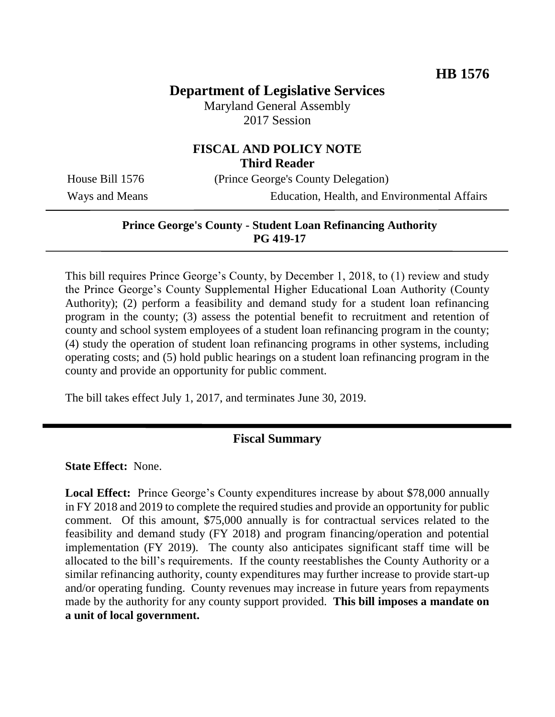# **Department of Legislative Services**

Maryland General Assembly 2017 Session

## **FISCAL AND POLICY NOTE Third Reader**

House Bill 1576 (Prince George's County Delegation)

Ways and Means Education, Health, and Environmental Affairs

#### **Prince George's County - Student Loan Refinancing Authority PG 419-17**

This bill requires Prince George's County, by December 1, 2018, to (1) review and study the Prince George's County Supplemental Higher Educational Loan Authority (County Authority); (2) perform a feasibility and demand study for a student loan refinancing program in the county; (3) assess the potential benefit to recruitment and retention of county and school system employees of a student loan refinancing program in the county; (4) study the operation of student loan refinancing programs in other systems, including operating costs; and (5) hold public hearings on a student loan refinancing program in the county and provide an opportunity for public comment.

The bill takes effect July 1, 2017, and terminates June 30, 2019.

#### **Fiscal Summary**

**State Effect:** None.

**Local Effect:** Prince George's County expenditures increase by about \$78,000 annually in FY 2018 and 2019 to complete the required studies and provide an opportunity for public comment. Of this amount, \$75,000 annually is for contractual services related to the feasibility and demand study (FY 2018) and program financing/operation and potential implementation (FY 2019). The county also anticipates significant staff time will be allocated to the bill's requirements. If the county reestablishes the County Authority or a similar refinancing authority, county expenditures may further increase to provide start-up and/or operating funding. County revenues may increase in future years from repayments made by the authority for any county support provided. **This bill imposes a mandate on a unit of local government.**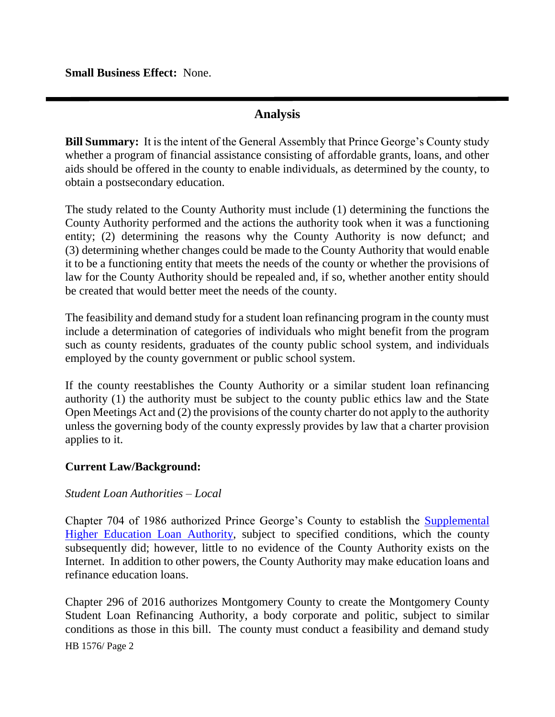**Small Business Effect:** None.

## **Analysis**

**Bill Summary:** It is the intent of the General Assembly that Prince George's County study whether a program of financial assistance consisting of affordable grants, loans, and other aids should be offered in the county to enable individuals, as determined by the county, to obtain a postsecondary education.

The study related to the County Authority must include (1) determining the functions the County Authority performed and the actions the authority took when it was a functioning entity; (2) determining the reasons why the County Authority is now defunct; and (3) determining whether changes could be made to the County Authority that would enable it to be a functioning entity that meets the needs of the county or whether the provisions of law for the County Authority should be repealed and, if so, whether another entity should be created that would better meet the needs of the county.

The feasibility and demand study for a student loan refinancing program in the county must include a determination of categories of individuals who might benefit from the program such as county residents, graduates of the county public school system, and individuals employed by the county government or public school system.

If the county reestablishes the County Authority or a similar student loan refinancing authority (1) the authority must be subject to the county public ethics law and the State Open Meetings Act and (2) the provisions of the county charter do not apply to the authority unless the governing body of the county expressly provides by law that a charter provision applies to it.

## **Current Law/Background:**

## *Student Loan Authorities – Local*

Chapter 704 of 1986 authorized Prince George's County to establish the [Supplemental](https://www.municode.com/library/md/prince_george)  [Higher Education Loan Authority,](https://www.municode.com/library/md/prince_george) subject to specified conditions, which the county subsequently did; however, little to no evidence of the County Authority exists on the Internet. In addition to other powers, the County Authority may make education loans and refinance education loans.

HB 1576/ Page 2 Chapter 296 of 2016 authorizes Montgomery County to create the Montgomery County Student Loan Refinancing Authority, a body corporate and politic, subject to similar conditions as those in this bill. The county must conduct a feasibility and demand study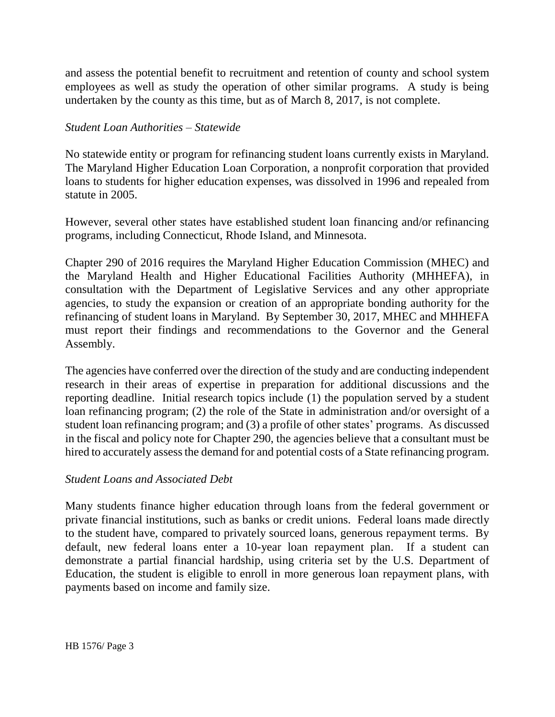and assess the potential benefit to recruitment and retention of county and school system employees as well as study the operation of other similar programs. A study is being undertaken by the county as this time, but as of March 8, 2017, is not complete.

#### *Student Loan Authorities – Statewide*

No statewide entity or program for refinancing student loans currently exists in Maryland. The Maryland Higher Education Loan Corporation, a nonprofit corporation that provided loans to students for higher education expenses, was dissolved in 1996 and repealed from statute in 2005.

However, several other states have established student loan financing and/or refinancing programs, including Connecticut, Rhode Island, and Minnesota.

Chapter 290 of 2016 requires the Maryland Higher Education Commission (MHEC) and the Maryland Health and Higher Educational Facilities Authority (MHHEFA), in consultation with the Department of Legislative Services and any other appropriate agencies, to study the expansion or creation of an appropriate bonding authority for the refinancing of student loans in Maryland. By September 30, 2017, MHEC and MHHEFA must report their findings and recommendations to the Governor and the General Assembly.

The agencies have conferred over the direction of the study and are conducting independent research in their areas of expertise in preparation for additional discussions and the reporting deadline. Initial research topics include (1) the population served by a student loan refinancing program; (2) the role of the State in administration and/or oversight of a student loan refinancing program; and (3) a profile of other states' programs. As discussed in the fiscal and policy note for Chapter 290, the agencies believe that a consultant must be hired to accurately assess the demand for and potential costs of a State refinancing program.

#### *Student Loans and Associated Debt*

Many students finance higher education through loans from the federal government or private financial institutions, such as banks or credit unions. Federal loans made directly to the student have, compared to privately sourced loans, generous repayment terms. By default, new federal loans enter a 10-year loan repayment plan. If a student can demonstrate a partial financial hardship, using criteria set by the U.S. Department of Education, the student is eligible to enroll in more generous loan repayment plans, with payments based on income and family size.